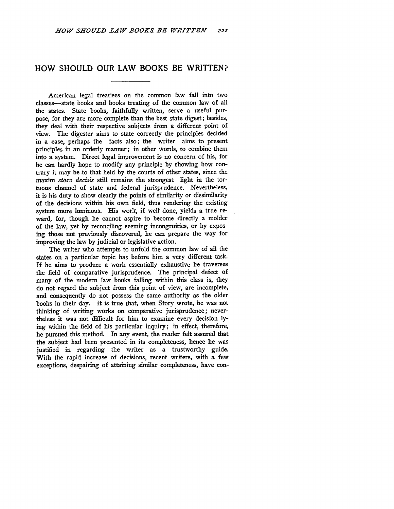## **HOW SHOULD OUR LAW BOOKS BE WRITTEN?**

American legal treatises on the common law fall into two classes-state books and books treating of the common law of all the states. State books, faithfully written, serve a useful purpose, for they are more complete than the best state digest; besides, they deal with their respective subjects from a different point of view. The digester aims to state correctly the principles decided in a case, perhaps the facts also; the writer aims to present principles in an orderly manner; in other words, to combine them into a system. Direct legal improvement is no concern of his, for he can hardly hope to modify any principle by showing how contrary it may be to that held by the courts of other states, since the maxim *store decisis* still remains the strongest light in the tortuous channel of state and federal jurisprudence. Nevertheless, it is his duty to show clearly the points of similarity or dissimilarity of the decisions within his own field, thus rendering the existing system more luminous. His work, if well done, yields a true reward, for, though he cannot aspire to become directly a molder of the law, yet by reconciling seeming incongruities, or by exposing those not previously discovered, he can prepare the way for improving the law by judicial or legislative action.

The writer who attempts to unfold the common law of all the states on a particular topic has before him a very different task. If he aims to produce a work essentially exhaustive he traverses the field of comparative jurisprudence. The principal defect of many of the modern law books falling within this class is, they do not regard the subject from this point of view, are incomplete, and consequently do not possess the same authority as the older books in their day. It is true that, when Story wrote, he was not thinking of writing works on comparative jurisprudence; nevertheless it was not difficult for him to examine every decision lying within the field of his particular inquiry; in effect, therefore, he pursued this method. In any event, the reader felt assured that the subject had been presented in its completeness, hence he was justified in regarding the writer as a trustworthy guide. With the rapid increase of decisions, recent writers, with a few exceptions, despairing of attaining similar completeness, have con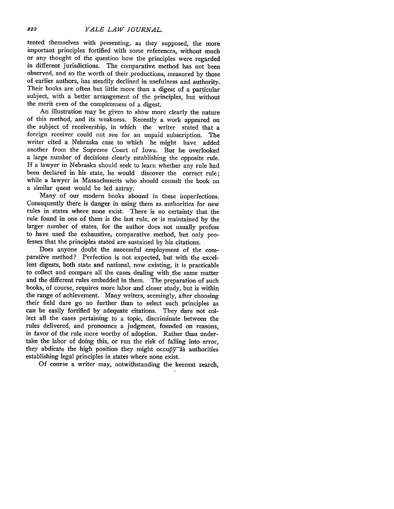tented themselves with presenting, as they supposed, the more important principles fortified with some references, without much or any thought of the question how the principles were regarded in different jurisdictions. The comparative method has not been observed, and so the worth of their -productions, measured by those of earlier authors, has steadily declined in usefulness and authority. Their books are often but little more than a digest of a particular subject, with a better arrangement of the principles, but without the merit even of the completeness of a digest.

An illustration may be given to show more clearly the nature of this method, and its weakness. Recently a work appeared on the subject of receivership, in which the writer stated that a foreign receiver could not sue for an unpaid subscription. The writer cited a Nebraska case to which he might have added another from the Supreme Court of Iowa. But he overlooked a large number of decisions clearly establishing the opposite rule. If a lawyer in Nebraska should seek to learn whether any rule had been declared in his state, he would discover the correct rule; while a lawyer in Massachusetts who should consult the book on a similar quest would be led astray.

Many of our modern books abound in these imperfections. Consequently there is danger in using them as authorities for new rules in states where none exist. There is no certainty that the rule found in one of them is the last rule, or is maintained by the larger number of states, for the author does not usually profess to have used the exhaustive, comparative method, but only professes that the principles stated are sustained by his citations. **-**

Does anyone doubt the successful employment of the comparative method? Perfection is not expected, but with the excellent digests, both state and national, now existing, it is practicable to collect and compare all the cases dealing with the same matter and the different rules embedded in them. The preparation of such books, of course, requires more labor and closer study, but is within the range of achievement. Many writers, seemingly, after choosing their field dare go no further than to select such principles as can be easily fortified by adequate citations. They dare not collect all the cases pertaining to a topic, discriminate between the rules delivered, and pronounce a judgment, founded on reasons, in favor of the rule more worthy of adoption. Rather than undertake the labor of doing this, or run the risk of falling into error, they abdicate the high position they might occupy as authorities establishing legal principles in states where none exist.

Of course a writer may, notwithstanding the keenest search,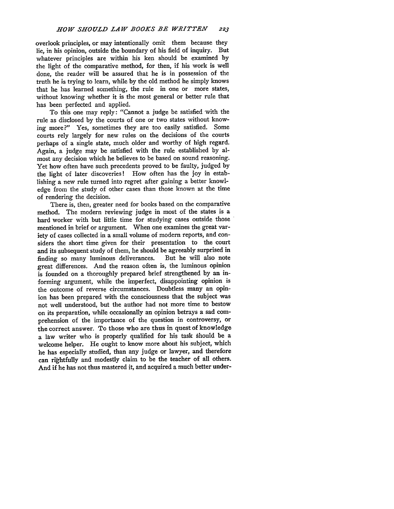overlook principles, or may intentionally omit them because they lie, in his opinion, outside the boundary of his field of inquiry. But whatever principles are within his ken should be examined by the light of the comparative method, for then, if his work is well done, the reader will be assured that he is in possession of the truth he is trying to learn, while by the old method he simply knows that he has learned something, the rule in one or more states, without knowing whether it is the most general or better rule that has been perfected and applied.

To this one may reply: "Cannot a judge be satisfied with the rule as disclosed by the courts of one or two states without knowing more?" Yes, sometimes they are too easily satisfied. Some courts rely largely for new rules on the decisions of the courts perhaps of a single state, much older and worthy of high regard. Again, a judge may be satisfied with the rule established by almost any decision which he believes to be based on sound reasoning. Yet how often have such precedents proved to be faulty, judged by the light of later discoveries! How often has the joy in establishing a new rule turned into regret after gaining a better knowledge from the study of other cases than those known at the time of rendering the decision.

There is, then, greater need for books based on the comparative method. The modern reviewing judge in most of the states is a hard worker with but little time for studying cases outside those mentioned in brief or argument. When one examines the great variety of cases collected in a small volume of modem reports, and considers the short time given for their presentation to the court and its subsequent study of them, he should be agreeably surprised in finding so many luminous deliverances. But he will also note finding so many luminous deliverances. great differences. And the reason often is, the luminous opinion is founded on a thoroughly prepared brief strengthened by an informing argument, while the imperfect, disappointing opinion is the outcome of reverse circumstances. Doubtless many an opinion has been prepared with the consciousness that the subject was not well understood, but the author had not more time to bestow on its preparation, while occasionally an opinion betrays a sad comprehension of the importance of the question in controversy, or the correct answer. To those who are thus in quest of knowledge a law writer who is properly qualified for his task fhould be a welcome helper. He ought to know more about his subject, which he has especially studied, than any judge or lawyer, and therefore can rightfully and modestly claim to be the teacher of all others. And if he has not thus mastered it, and acquired a much better under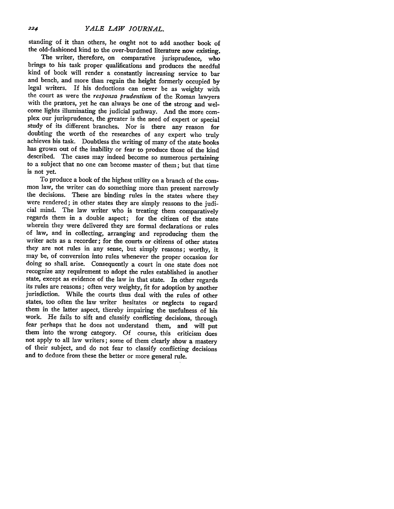standing of it than others, he ought not to add another book of the old-fashioned kind to the over-burdened literature now existing.

The writer, therefore, on comparative jurisprudence, who brings to his task proper qualifications and produces the needful kind of book will render a constantly increasing service to bar and bench, and more than regain the height formerly occupied **by** legal writers. If his deductions can never be as weighty with the court as were the responsa *prudentium* of the Roman lawyers with the przetors, yet he can always be one of the strong and welcome lights illuminating the judicial pathway. And the more complex our jurisprudence, the greater is the need of expert or special study of its different branches. Nor is there any reason for doubting the worth of the researches of any expert who truly achieves his task. Doubtless the writing of many of the state books has grown out of the inability or fear to produce those of the kind described. The cases may indeed become so numerous pertaining to a subject that no one can become master of them; but that time is not yet.

To produce a book of the highest utility on a branch of the common law, the writer can do something more than present narrowly the decisions. These are binding rules in the states where they were rendered; in other states they are simply reasons to the judicial mind. The law writer who is treating them comparatively regards them in a double aspect; for the citizen of the state wherein they were delivered they are formal declarations or rules of law, and in collecting, arranging and reproducing them the writer acts as a recorder; for the courts or citizens of other states they are not rules in any sense, but simply reasons; worthy, it may be, of conversion into rules whenever the proper occasion for doing so shall arise. Consequently a court in one state does not recognize any requirement to adopt the rules established in another state, except as evidence of the law in that state. In other regards its rules are reasons; often very weighty, fit for adoption **by** another jurisdiction. While the courts thus deal with the rules of other states, too often the law writer hesitates or neglects to regard them in the latter aspect, thereby impairing the usefulness of his work. He fails to sift and classify conflicting decisions, through fear perhaps that he does not understand them, and will put them into the wrong category. **Of** course, this criticism does not apply to all law writers; some of them clearly show a mastery of their subject, and do not fear to classify conflicting decisions and to deduce from these the better or more general rule.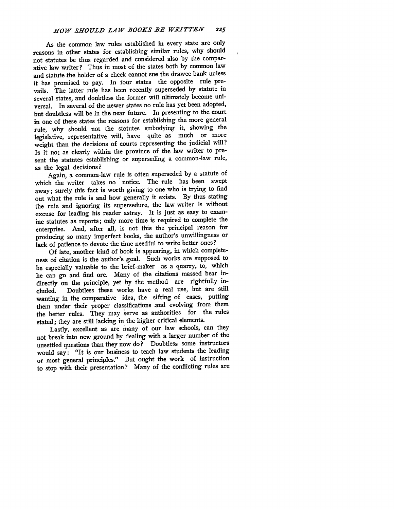As the common law rules established in every state are only reasons in other states for establishing similar rules, why should not statutes be thus regarded and considered also **by** the comparative law writer? Thus in most of the states both **by** common law and statute the holder of a check cannot sue the drawee bank unless it has promised to pay. In four states the opposite rule prevails. The latter rule has been recently superseded **by** statute in several states, and doubtless the former will ultimately become universal. In several of the newer states no rule has yet been adopted, but doubtless will be in the near future. In presenting to the court in one of these states the reasons for establishing the more general rule, why should not the statutes embodying it, showing the legislative, representative will, have quite as much or more weight than the decisions of courts representing the judicial will? Is it not as clearly within the province of the law writer to present the statutes establishing or superseding a common-law rule, as the legal decisions?

Again, a common-law rule is often superseded **by** a statute of which the writer takes no notice. The rule has been swept away; surely this fact is worth giving to one who is trying to find out what the rule is and how generally it exists. **By** thus stating the rule and ignoring its supersedure, the law writer is without excuse for leading his reader astray. It is just as easy to examine statutes as reports; only more time is required to complete the enterprise. And, after all, is not this the principal reason for producing so many imperfect books, the atithor's unwillingness or lack of patience to devote the time needful to write better ones?

Of late, another kind of book is appearing, in which completenest of citation is the author's goal. Such works are supposed to be especially valuable to the brief-maker as a quarry, to, which he can go and find ore. Many of the citations massed bear indirectly on the principle, yet **by** the method are rightfully included. Doubtless these works have a real use, but are still wanting in the comparative idea, the sifting of cases, putting them under their proper classifications and evolving from them the better rules. They may serve as authorities for the rules stated; they are still lacking in the higher critical elements.

Lastly, excellent as are many of our law schools, can they not break into new ground **by** dealing with a larger number of the unsettled questions than they now do? Doubtless some instructors would say: "It is our business to teach law students the leading or most general principles." But ought the work of instruction to stop with their presentation? Many of the conflicting rules are